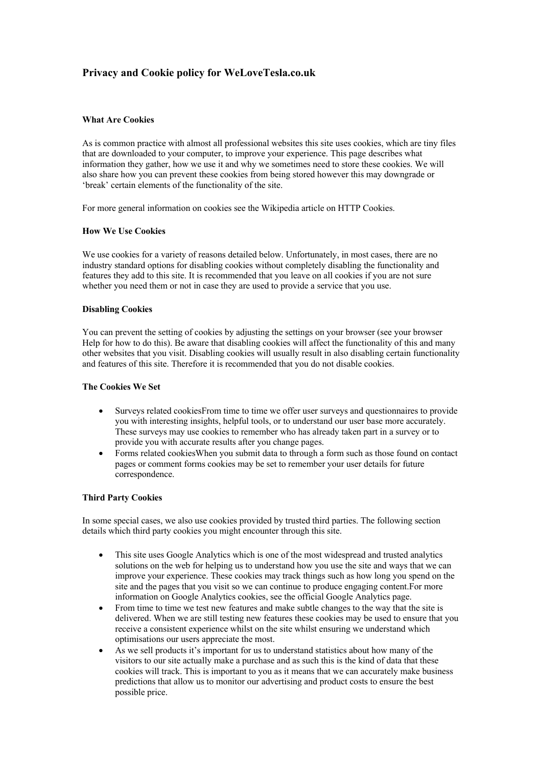# **Privacy and Cookie policy for WeLoveTesla.co.uk**

#### **What Are Cookies**

As is common practice with almost all professional websites this site uses cookies, which are tiny files that are downloaded to your computer, to improve your experience. This page describes what information they gather, how we use it and why we sometimes need to store these cookies. We will also share how you can prevent these cookies from being stored however this may downgrade or 'break' certain elements of the functionality of the site.

For more general information on cookies see the Wikipedia article on HTTP Cookies.

#### **How We Use Cookies**

We use cookies for a variety of reasons detailed below. Unfortunately, in most cases, there are no industry standard options for disabling cookies without completely disabling the functionality and features they add to this site. It is recommended that you leave on all cookies if you are not sure whether you need them or not in case they are used to provide a service that you use.

#### **Disabling Cookies**

You can prevent the setting of cookies by adjusting the settings on your browser (see your browser Help for how to do this). Be aware that disabling cookies will affect the functionality of this and many other websites that you visit. Disabling cookies will usually result in also disabling certain functionality and features of this site. Therefore it is recommended that you do not disable cookies.

#### **The Cookies We Set**

- Surveys related cookiesFrom time to time we offer user surveys and questionnaires to provide you with interesting insights, helpful tools, or to understand our user base more accurately. These surveys may use cookies to remember who has already taken part in a survey or to provide you with accurate results after you change pages.
- Forms related cookiesWhen you submit data to through a form such as those found on contact pages or comment forms cookies may be set to remember your user details for future correspondence.

#### **Third Party Cookies**

In some special cases, we also use cookies provided by trusted third parties. The following section details which third party cookies you might encounter through this site.

- This site uses Google Analytics which is one of the most widespread and trusted analytics solutions on the web for helping us to understand how you use the site and ways that we can improve your experience. These cookies may track things such as how long you spend on the site and the pages that you visit so we can continue to produce engaging content.For more information on Google Analytics cookies, see the official Google Analytics page.
- From time to time we test new features and make subtle changes to the way that the site is delivered. When we are still testing new features these cookies may be used to ensure that you receive a consistent experience whilst on the site whilst ensuring we understand which optimisations our users appreciate the most.
- As we sell products it's important for us to understand statistics about how many of the visitors to our site actually make a purchase and as such this is the kind of data that these cookies will track. This is important to you as it means that we can accurately make business predictions that allow us to monitor our advertising and product costs to ensure the best possible price.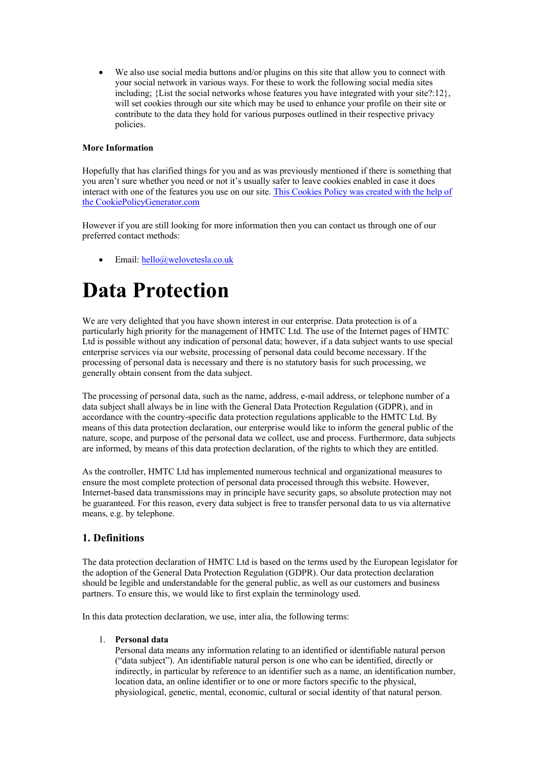• We also use social media buttons and/or plugins on this site that allow you to connect with your social network in various ways. For these to work the following social media sites including; {List the social networks whose features you have integrated with your site?:12}, will set cookies through our site which may be used to enhance your profile on their site or contribute to the data they hold for various purposes outlined in their respective privacy policies.

#### **More Information**

Hopefully that has clarified things for you and as was previously mentioned if there is something that you aren't sure whether you need or not it's usually safer to leave cookies enabled in case it does interact with one of the features you use on our site. This Cookies Policy was created with the help of the CookiePolicyGenerator.com

However if you are still looking for more information then you can contact us through one of our preferred contact methods:

• Email: hello@welovetesla.co.uk

# **Data Protection**

We are very delighted that you have shown interest in our enterprise. Data protection is of a particularly high priority for the management of HMTC Ltd. The use of the Internet pages of HMTC Ltd is possible without any indication of personal data; however, if a data subject wants to use special enterprise services via our website, processing of personal data could become necessary. If the processing of personal data is necessary and there is no statutory basis for such processing, we generally obtain consent from the data subject.

The processing of personal data, such as the name, address, e-mail address, or telephone number of a data subject shall always be in line with the General Data Protection Regulation (GDPR), and in accordance with the country-specific data protection regulations applicable to the HMTC Ltd. By means of this data protection declaration, our enterprise would like to inform the general public of the nature, scope, and purpose of the personal data we collect, use and process. Furthermore, data subjects are informed, by means of this data protection declaration, of the rights to which they are entitled.

As the controller, HMTC Ltd has implemented numerous technical and organizational measures to ensure the most complete protection of personal data processed through this website. However, Internet-based data transmissions may in principle have security gaps, so absolute protection may not be guaranteed. For this reason, every data subject is free to transfer personal data to us via alternative means, e.g. by telephone.

# **1. Definitions**

The data protection declaration of HMTC Ltd is based on the terms used by the European legislator for the adoption of the General Data Protection Regulation (GDPR). Our data protection declaration should be legible and understandable for the general public, as well as our customers and business partners. To ensure this, we would like to first explain the terminology used.

In this data protection declaration, we use, inter alia, the following terms:

#### 1. **Personal data**

Personal data means any information relating to an identified or identifiable natural person ("data subject"). An identifiable natural person is one who can be identified, directly or indirectly, in particular by reference to an identifier such as a name, an identification number, location data, an online identifier or to one or more factors specific to the physical, physiological, genetic, mental, economic, cultural or social identity of that natural person.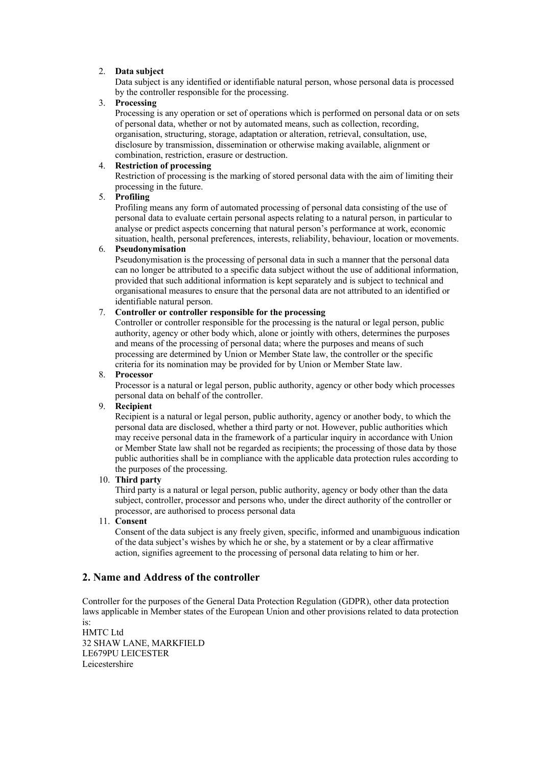## 2. **Data subject**

Data subject is any identified or identifiable natural person, whose personal data is processed by the controller responsible for the processing.

#### 3. **Processing**

Processing is any operation or set of operations which is performed on personal data or on sets of personal data, whether or not by automated means, such as collection, recording, organisation, structuring, storage, adaptation or alteration, retrieval, consultation, use, disclosure by transmission, dissemination or otherwise making available, alignment or combination, restriction, erasure or destruction.

## 4. **Restriction of processing**

Restriction of processing is the marking of stored personal data with the aim of limiting their processing in the future.

## 5. **Profiling**

Profiling means any form of automated processing of personal data consisting of the use of personal data to evaluate certain personal aspects relating to a natural person, in particular to analyse or predict aspects concerning that natural person's performance at work, economic situation, health, personal preferences, interests, reliability, behaviour, location or movements.

#### 6. **Pseudonymisation**

Pseudonymisation is the processing of personal data in such a manner that the personal data can no longer be attributed to a specific data subject without the use of additional information, provided that such additional information is kept separately and is subject to technical and organisational measures to ensure that the personal data are not attributed to an identified or identifiable natural person.

## 7. **Controller or controller responsible for the processing**

Controller or controller responsible for the processing is the natural or legal person, public authority, agency or other body which, alone or jointly with others, determines the purposes and means of the processing of personal data; where the purposes and means of such processing are determined by Union or Member State law, the controller or the specific criteria for its nomination may be provided for by Union or Member State law.

#### 8. **Processor**

Processor is a natural or legal person, public authority, agency or other body which processes personal data on behalf of the controller.

#### 9. **Recipient**

Recipient is a natural or legal person, public authority, agency or another body, to which the personal data are disclosed, whether a third party or not. However, public authorities which may receive personal data in the framework of a particular inquiry in accordance with Union or Member State law shall not be regarded as recipients; the processing of those data by those public authorities shall be in compliance with the applicable data protection rules according to the purposes of the processing.

#### 10. **Third party**

Third party is a natural or legal person, public authority, agency or body other than the data subject, controller, processor and persons who, under the direct authority of the controller or processor, are authorised to process personal data

## 11. **Consent**

Consent of the data subject is any freely given, specific, informed and unambiguous indication of the data subject's wishes by which he or she, by a statement or by a clear affirmative action, signifies agreement to the processing of personal data relating to him or her.

# **2. Name and Address of the controller**

Controller for the purposes of the General Data Protection Regulation (GDPR), other data protection laws applicable in Member states of the European Union and other provisions related to data protection

is: HMTC Ltd 32 SHAW LANE, MARKFIELD LE679PU LEICESTER Leicestershire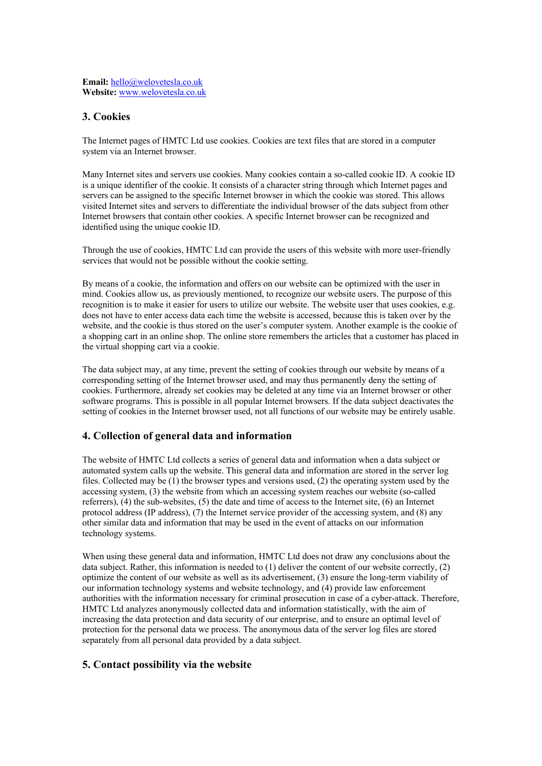# **3. Cookies**

The Internet pages of HMTC Ltd use cookies. Cookies are text files that are stored in a computer system via an Internet browser.

Many Internet sites and servers use cookies. Many cookies contain a so-called cookie ID. A cookie ID is a unique identifier of the cookie. It consists of a character string through which Internet pages and servers can be assigned to the specific Internet browser in which the cookie was stored. This allows visited Internet sites and servers to differentiate the individual browser of the dats subject from other Internet browsers that contain other cookies. A specific Internet browser can be recognized and identified using the unique cookie ID.

Through the use of cookies, HMTC Ltd can provide the users of this website with more user-friendly services that would not be possible without the cookie setting.

By means of a cookie, the information and offers on our website can be optimized with the user in mind. Cookies allow us, as previously mentioned, to recognize our website users. The purpose of this recognition is to make it easier for users to utilize our website. The website user that uses cookies, e.g. does not have to enter access data each time the website is accessed, because this is taken over by the website, and the cookie is thus stored on the user's computer system. Another example is the cookie of a shopping cart in an online shop. The online store remembers the articles that a customer has placed in the virtual shopping cart via a cookie.

The data subject may, at any time, prevent the setting of cookies through our website by means of a corresponding setting of the Internet browser used, and may thus permanently deny the setting of cookies. Furthermore, already set cookies may be deleted at any time via an Internet browser or other software programs. This is possible in all popular Internet browsers. If the data subject deactivates the setting of cookies in the Internet browser used, not all functions of our website may be entirely usable.

# **4. Collection of general data and information**

The website of HMTC Ltd collects a series of general data and information when a data subject or automated system calls up the website. This general data and information are stored in the server log files. Collected may be (1) the browser types and versions used, (2) the operating system used by the accessing system, (3) the website from which an accessing system reaches our website (so-called referrers), (4) the sub-websites, (5) the date and time of access to the Internet site, (6) an Internet protocol address (IP address), (7) the Internet service provider of the accessing system, and (8) any other similar data and information that may be used in the event of attacks on our information technology systems.

When using these general data and information, HMTC Ltd does not draw any conclusions about the data subject. Rather, this information is needed to (1) deliver the content of our website correctly, (2) optimize the content of our website as well as its advertisement, (3) ensure the long-term viability of our information technology systems and website technology, and (4) provide law enforcement authorities with the information necessary for criminal prosecution in case of a cyber-attack. Therefore, HMTC Ltd analyzes anonymously collected data and information statistically, with the aim of increasing the data protection and data security of our enterprise, and to ensure an optimal level of protection for the personal data we process. The anonymous data of the server log files are stored separately from all personal data provided by a data subject.

# **5. Contact possibility via the website**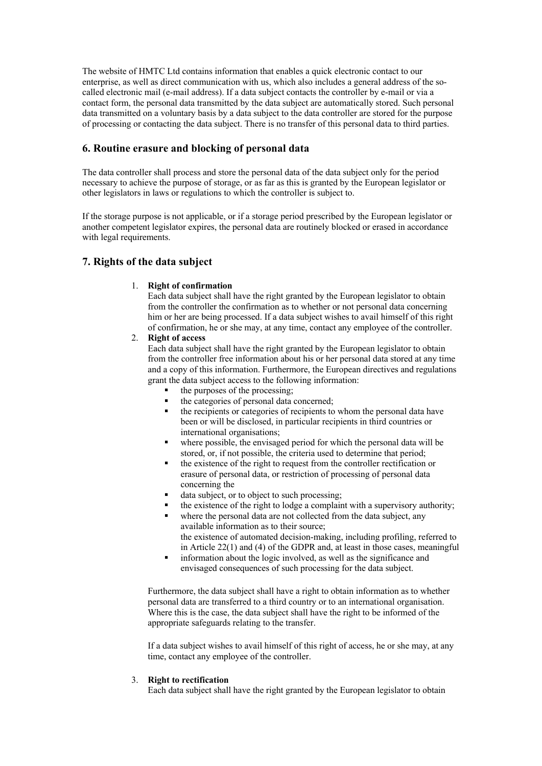The website of HMTC Ltd contains information that enables a quick electronic contact to our enterprise, as well as direct communication with us, which also includes a general address of the socalled electronic mail (e-mail address). If a data subject contacts the controller by e-mail or via a contact form, the personal data transmitted by the data subject are automatically stored. Such personal data transmitted on a voluntary basis by a data subject to the data controller are stored for the purpose of processing or contacting the data subject. There is no transfer of this personal data to third parties.

# **6. Routine erasure and blocking of personal data**

The data controller shall process and store the personal data of the data subject only for the period necessary to achieve the purpose of storage, or as far as this is granted by the European legislator or other legislators in laws or regulations to which the controller is subject to.

If the storage purpose is not applicable, or if a storage period prescribed by the European legislator or another competent legislator expires, the personal data are routinely blocked or erased in accordance with legal requirements.

# **7. Rights of the data subject**

#### 1. **Right of confirmation**

Each data subject shall have the right granted by the European legislator to obtain from the controller the confirmation as to whether or not personal data concerning him or her are being processed. If a data subject wishes to avail himself of this right of confirmation, he or she may, at any time, contact any employee of the controller.

## 2. **Right of access**

Each data subject shall have the right granted by the European legislator to obtain from the controller free information about his or her personal data stored at any time and a copy of this information. Furthermore, the European directives and regulations grant the data subject access to the following information:

- the purposes of the processing;
- the categories of personal data concerned;
- the recipients or categories of recipients to whom the personal data have been or will be disclosed, in particular recipients in third countries or international organisations;
- where possible, the envisaged period for which the personal data will be stored, or, if not possible, the criteria used to determine that period;
- § the existence of the right to request from the controller rectification or erasure of personal data, or restriction of processing of personal data concerning the
- data subject, or to object to such processing;
- the existence of the right to lodge a complaint with a supervisory authority;
- where the personal data are not collected from the data subject, any available information as to their source; the existence of automated decision-making, including profiling, referred to
- in Article 22(1) and (4) of the GDPR and, at least in those cases, meaningful information about the logic involved, as well as the significance and
- envisaged consequences of such processing for the data subject.

Furthermore, the data subject shall have a right to obtain information as to whether personal data are transferred to a third country or to an international organisation. Where this is the case, the data subject shall have the right to be informed of the appropriate safeguards relating to the transfer.

If a data subject wishes to avail himself of this right of access, he or she may, at any time, contact any employee of the controller.

#### 3. **Right to rectification**

Each data subject shall have the right granted by the European legislator to obtain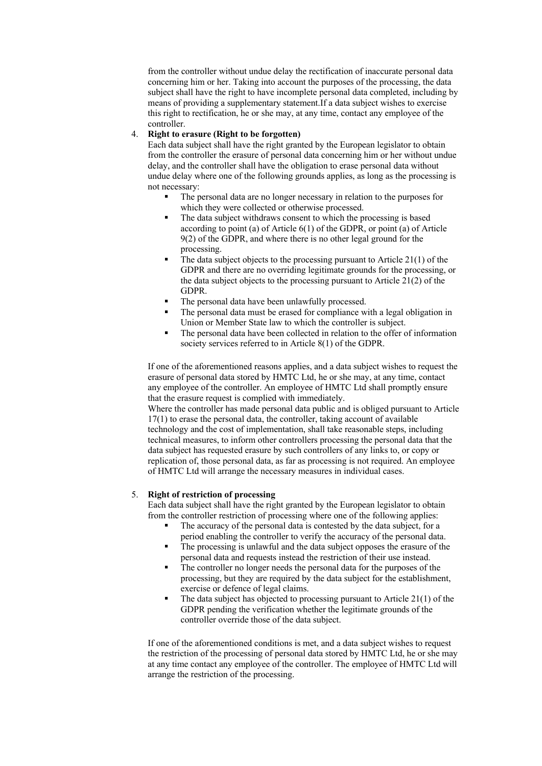from the controller without undue delay the rectification of inaccurate personal data concerning him or her. Taking into account the purposes of the processing, the data subject shall have the right to have incomplete personal data completed, including by means of providing a supplementary statement.If a data subject wishes to exercise this right to rectification, he or she may, at any time, contact any employee of the controller.

# 4. **Right to erasure (Right to be forgotten)**

Each data subject shall have the right granted by the European legislator to obtain from the controller the erasure of personal data concerning him or her without undue delay, and the controller shall have the obligation to erase personal data without undue delay where one of the following grounds applies, as long as the processing is not necessary:

- The personal data are no longer necessary in relation to the purposes for which they were collected or otherwise processed.
- The data subject withdraws consent to which the processing is based according to point (a) of Article  $6(1)$  of the GDPR, or point (a) of Article 9(2) of the GDPR, and where there is no other legal ground for the processing.
- The data subject objects to the processing pursuant to Article  $21(1)$  of the GDPR and there are no overriding legitimate grounds for the processing, or the data subject objects to the processing pursuant to Article 21(2) of the GDPR.
- The personal data have been unlawfully processed.
- The personal data must be erased for compliance with a legal obligation in Union or Member State law to which the controller is subject.
- The personal data have been collected in relation to the offer of information society services referred to in Article 8(1) of the GDPR.

If one of the aforementioned reasons applies, and a data subject wishes to request the erasure of personal data stored by HMTC Ltd, he or she may, at any time, contact any employee of the controller. An employee of HMTC Ltd shall promptly ensure that the erasure request is complied with immediately.

Where the controller has made personal data public and is obliged pursuant to Article 17(1) to erase the personal data, the controller, taking account of available technology and the cost of implementation, shall take reasonable steps, including technical measures, to inform other controllers processing the personal data that the data subject has requested erasure by such controllers of any links to, or copy or replication of, those personal data, as far as processing is not required. An employee of HMTC Ltd will arrange the necessary measures in individual cases.

#### 5. **Right of restriction of processing**

Each data subject shall have the right granted by the European legislator to obtain from the controller restriction of processing where one of the following applies:

- The accuracy of the personal data is contested by the data subject, for a period enabling the controller to verify the accuracy of the personal data.
- The processing is unlawful and the data subject opposes the erasure of the personal data and requests instead the restriction of their use instead.
- The controller no longer needs the personal data for the purposes of the processing, but they are required by the data subject for the establishment, exercise or defence of legal claims.
- The data subject has objected to processing pursuant to Article  $21(1)$  of the GDPR pending the verification whether the legitimate grounds of the controller override those of the data subject.

If one of the aforementioned conditions is met, and a data subject wishes to request the restriction of the processing of personal data stored by HMTC Ltd, he or she may at any time contact any employee of the controller. The employee of HMTC Ltd will arrange the restriction of the processing.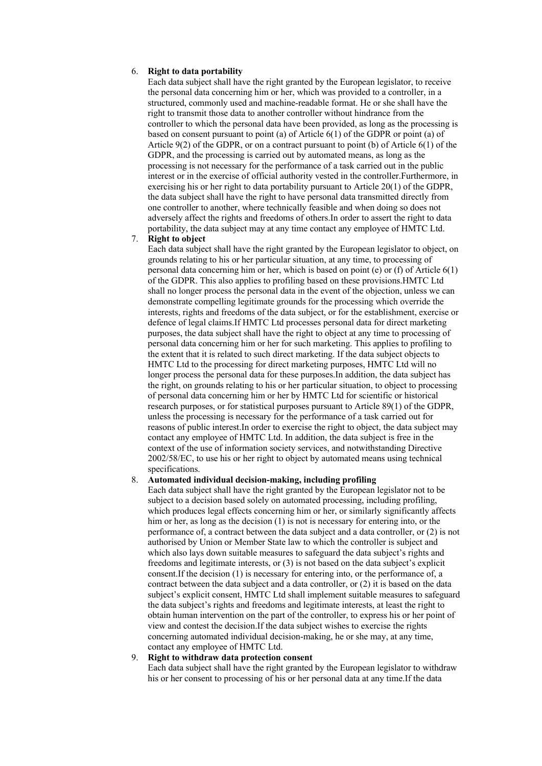#### 6. **Right to data portability**

Each data subject shall have the right granted by the European legislator, to receive the personal data concerning him or her, which was provided to a controller, in a structured, commonly used and machine-readable format. He or she shall have the right to transmit those data to another controller without hindrance from the controller to which the personal data have been provided, as long as the processing is based on consent pursuant to point (a) of Article 6(1) of the GDPR or point (a) of Article 9(2) of the GDPR, or on a contract pursuant to point (b) of Article 6(1) of the GDPR, and the processing is carried out by automated means, as long as the processing is not necessary for the performance of a task carried out in the public interest or in the exercise of official authority vested in the controller.Furthermore, in exercising his or her right to data portability pursuant to Article 20(1) of the GDPR, the data subject shall have the right to have personal data transmitted directly from one controller to another, where technically feasible and when doing so does not adversely affect the rights and freedoms of others.In order to assert the right to data portability, the data subject may at any time contact any employee of HMTC Ltd.

#### 7. **Right to object**

Each data subject shall have the right granted by the European legislator to object, on grounds relating to his or her particular situation, at any time, to processing of personal data concerning him or her, which is based on point (e) or (f) of Article 6(1) of the GDPR. This also applies to profiling based on these provisions.HMTC Ltd shall no longer process the personal data in the event of the objection, unless we can demonstrate compelling legitimate grounds for the processing which override the interests, rights and freedoms of the data subject, or for the establishment, exercise or defence of legal claims.If HMTC Ltd processes personal data for direct marketing purposes, the data subject shall have the right to object at any time to processing of personal data concerning him or her for such marketing. This applies to profiling to the extent that it is related to such direct marketing. If the data subject objects to HMTC Ltd to the processing for direct marketing purposes, HMTC Ltd will no longer process the personal data for these purposes.In addition, the data subject has the right, on grounds relating to his or her particular situation, to object to processing of personal data concerning him or her by HMTC Ltd for scientific or historical research purposes, or for statistical purposes pursuant to Article 89(1) of the GDPR, unless the processing is necessary for the performance of a task carried out for reasons of public interest.In order to exercise the right to object, the data subject may contact any employee of HMTC Ltd. In addition, the data subject is free in the context of the use of information society services, and notwithstanding Directive 2002/58/EC, to use his or her right to object by automated means using technical specifications.

#### 8. **Automated individual decision-making, including profiling**

Each data subject shall have the right granted by the European legislator not to be subject to a decision based solely on automated processing, including profiling, which produces legal effects concerning him or her, or similarly significantly affects him or her, as long as the decision (1) is not is necessary for entering into, or the performance of, a contract between the data subject and a data controller, or (2) is not authorised by Union or Member State law to which the controller is subject and which also lays down suitable measures to safeguard the data subject's rights and freedoms and legitimate interests, or (3) is not based on the data subject's explicit consent.If the decision (1) is necessary for entering into, or the performance of, a contract between the data subject and a data controller, or (2) it is based on the data subject's explicit consent, HMTC Ltd shall implement suitable measures to safeguard the data subject's rights and freedoms and legitimate interests, at least the right to obtain human intervention on the part of the controller, to express his or her point of view and contest the decision.If the data subject wishes to exercise the rights concerning automated individual decision-making, he or she may, at any time, contact any employee of HMTC Ltd.

#### 9. **Right to withdraw data protection consent**

Each data subject shall have the right granted by the European legislator to withdraw his or her consent to processing of his or her personal data at any time.If the data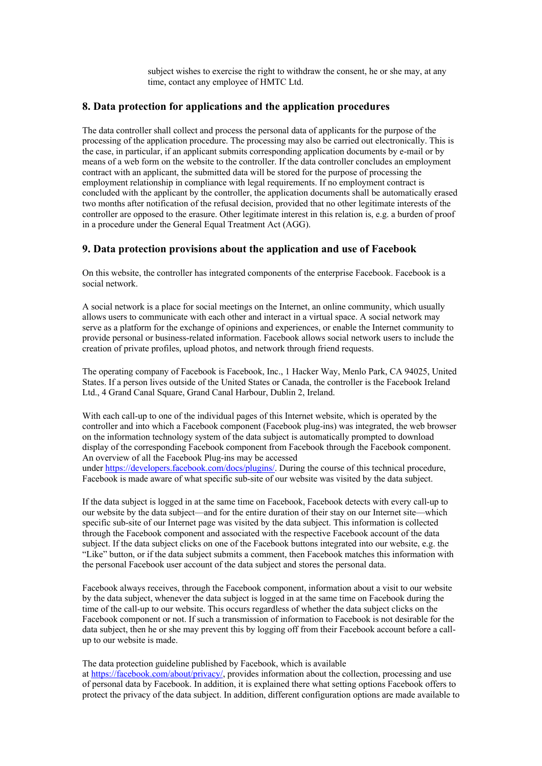subject wishes to exercise the right to withdraw the consent, he or she may, at any time, contact any employee of HMTC Ltd.

# **8. Data protection for applications and the application procedures**

The data controller shall collect and process the personal data of applicants for the purpose of the processing of the application procedure. The processing may also be carried out electronically. This is the case, in particular, if an applicant submits corresponding application documents by e-mail or by means of a web form on the website to the controller. If the data controller concludes an employment contract with an applicant, the submitted data will be stored for the purpose of processing the employment relationship in compliance with legal requirements. If no employment contract is concluded with the applicant by the controller, the application documents shall be automatically erased two months after notification of the refusal decision, provided that no other legitimate interests of the controller are opposed to the erasure. Other legitimate interest in this relation is, e.g. a burden of proof in a procedure under the General Equal Treatment Act (AGG).

## **9. Data protection provisions about the application and use of Facebook**

On this website, the controller has integrated components of the enterprise Facebook. Facebook is a social network.

A social network is a place for social meetings on the Internet, an online community, which usually allows users to communicate with each other and interact in a virtual space. A social network may serve as a platform for the exchange of opinions and experiences, or enable the Internet community to provide personal or business-related information. Facebook allows social network users to include the creation of private profiles, upload photos, and network through friend requests.

The operating company of Facebook is Facebook, Inc., 1 Hacker Way, Menlo Park, CA 94025, United States. If a person lives outside of the United States or Canada, the controller is the Facebook Ireland Ltd., 4 Grand Canal Square, Grand Canal Harbour, Dublin 2, Ireland.

With each call-up to one of the individual pages of this Internet website, which is operated by the controller and into which a Facebook component (Facebook plug-ins) was integrated, the web browser on the information technology system of the data subject is automatically prompted to download display of the corresponding Facebook component from Facebook through the Facebook component. An overview of all the Facebook Plug-ins may be accessed under https://developers.facebook.com/docs/plugins/. During the course of this technical procedure,

Facebook is made aware of what specific sub-site of our website was visited by the data subject.

If the data subject is logged in at the same time on Facebook, Facebook detects with every call-up to our website by the data subject—and for the entire duration of their stay on our Internet site—which specific sub-site of our Internet page was visited by the data subject. This information is collected through the Facebook component and associated with the respective Facebook account of the data subject. If the data subject clicks on one of the Facebook buttons integrated into our website, e.g. the "Like" button, or if the data subject submits a comment, then Facebook matches this information with the personal Facebook user account of the data subject and stores the personal data.

Facebook always receives, through the Facebook component, information about a visit to our website by the data subject, whenever the data subject is logged in at the same time on Facebook during the time of the call-up to our website. This occurs regardless of whether the data subject clicks on the Facebook component or not. If such a transmission of information to Facebook is not desirable for the data subject, then he or she may prevent this by logging off from their Facebook account before a callup to our website is made.

The data protection guideline published by Facebook, which is available at https://facebook.com/about/privacy/, provides information about the collection, processing and use of personal data by Facebook. In addition, it is explained there what setting options Facebook offers to protect the privacy of the data subject. In addition, different configuration options are made available to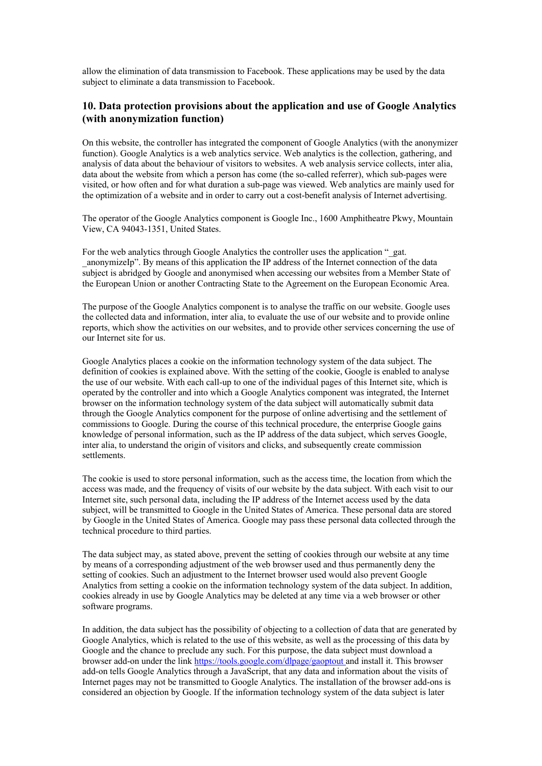allow the elimination of data transmission to Facebook. These applications may be used by the data subject to eliminate a data transmission to Facebook.

# **10. Data protection provisions about the application and use of Google Analytics (with anonymization function)**

On this website, the controller has integrated the component of Google Analytics (with the anonymizer function). Google Analytics is a web analytics service. Web analytics is the collection, gathering, and analysis of data about the behaviour of visitors to websites. A web analysis service collects, inter alia, data about the website from which a person has come (the so-called referrer), which sub-pages were visited, or how often and for what duration a sub-page was viewed. Web analytics are mainly used for the optimization of a website and in order to carry out a cost-benefit analysis of Internet advertising.

The operator of the Google Analytics component is Google Inc., 1600 Amphitheatre Pkwy, Mountain View, CA 94043-1351, United States.

For the web analytics through Google Analytics the controller uses the application " gat. \_anonymizeIp". By means of this application the IP address of the Internet connection of the data subject is abridged by Google and anonymised when accessing our websites from a Member State of the European Union or another Contracting State to the Agreement on the European Economic Area.

The purpose of the Google Analytics component is to analyse the traffic on our website. Google uses the collected data and information, inter alia, to evaluate the use of our website and to provide online reports, which show the activities on our websites, and to provide other services concerning the use of our Internet site for us.

Google Analytics places a cookie on the information technology system of the data subject. The definition of cookies is explained above. With the setting of the cookie, Google is enabled to analyse the use of our website. With each call-up to one of the individual pages of this Internet site, which is operated by the controller and into which a Google Analytics component was integrated, the Internet browser on the information technology system of the data subject will automatically submit data through the Google Analytics component for the purpose of online advertising and the settlement of commissions to Google. During the course of this technical procedure, the enterprise Google gains knowledge of personal information, such as the IP address of the data subject, which serves Google, inter alia, to understand the origin of visitors and clicks, and subsequently create commission settlements.

The cookie is used to store personal information, such as the access time, the location from which the access was made, and the frequency of visits of our website by the data subject. With each visit to our Internet site, such personal data, including the IP address of the Internet access used by the data subject, will be transmitted to Google in the United States of America. These personal data are stored by Google in the United States of America. Google may pass these personal data collected through the technical procedure to third parties.

The data subject may, as stated above, prevent the setting of cookies through our website at any time by means of a corresponding adjustment of the web browser used and thus permanently deny the setting of cookies. Such an adjustment to the Internet browser used would also prevent Google Analytics from setting a cookie on the information technology system of the data subject. In addition, cookies already in use by Google Analytics may be deleted at any time via a web browser or other software programs.

In addition, the data subject has the possibility of objecting to a collection of data that are generated by Google Analytics, which is related to the use of this website, as well as the processing of this data by Google and the chance to preclude any such. For this purpose, the data subject must download a browser add-on under the link https://tools.google.com/dlpage/gaoptout and install it. This browser add-on tells Google Analytics through a JavaScript, that any data and information about the visits of Internet pages may not be transmitted to Google Analytics. The installation of the browser add-ons is considered an objection by Google. If the information technology system of the data subject is later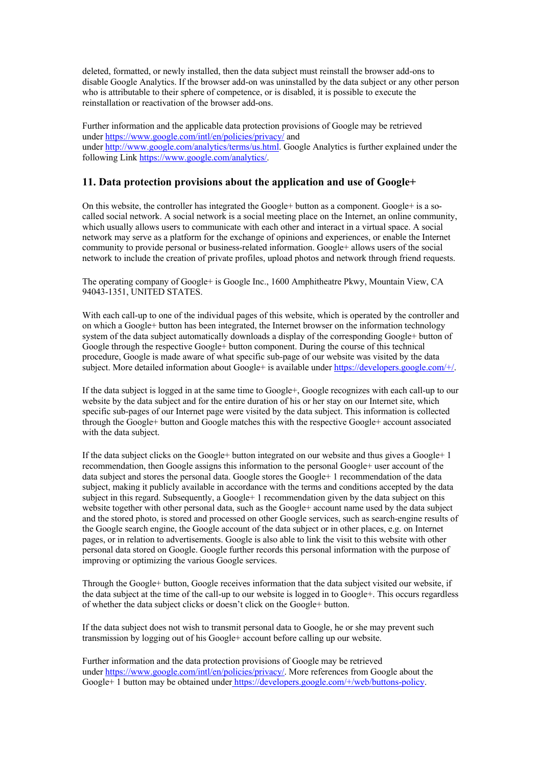deleted, formatted, or newly installed, then the data subject must reinstall the browser add-ons to disable Google Analytics. If the browser add-on was uninstalled by the data subject or any other person who is attributable to their sphere of competence, or is disabled, it is possible to execute the reinstallation or reactivation of the browser add-ons.

Further information and the applicable data protection provisions of Google may be retrieved under https://www.google.com/intl/en/policies/privacy/ and under http://www.google.com/analytics/terms/us.html. Google Analytics is further explained under the following Link https://www.google.com/analytics/.

# **11. Data protection provisions about the application and use of Google+**

On this website, the controller has integrated the Google+ button as a component. Google+ is a socalled social network. A social network is a social meeting place on the Internet, an online community, which usually allows users to communicate with each other and interact in a virtual space. A social network may serve as a platform for the exchange of opinions and experiences, or enable the Internet community to provide personal or business-related information. Google+ allows users of the social network to include the creation of private profiles, upload photos and network through friend requests.

The operating company of Google+ is Google Inc., 1600 Amphitheatre Pkwy, Mountain View, CA 94043-1351, UNITED STATES.

With each call-up to one of the individual pages of this website, which is operated by the controller and on which a Google+ button has been integrated, the Internet browser on the information technology system of the data subject automatically downloads a display of the corresponding Google+ button of Google through the respective Google+ button component. During the course of this technical procedure, Google is made aware of what specific sub-page of our website was visited by the data subject. More detailed information about Google+ is available under https://developers.google.com/+/.

If the data subject is logged in at the same time to Google+, Google recognizes with each call-up to our website by the data subject and for the entire duration of his or her stay on our Internet site, which specific sub-pages of our Internet page were visited by the data subject. This information is collected through the Google+ button and Google matches this with the respective Google+ account associated with the data subject.

If the data subject clicks on the Google+ button integrated on our website and thus gives a Google+ 1 recommendation, then Google assigns this information to the personal Google+ user account of the data subject and stores the personal data. Google stores the Google+ 1 recommendation of the data subject, making it publicly available in accordance with the terms and conditions accepted by the data subject in this regard. Subsequently, a Google+ 1 recommendation given by the data subject on this website together with other personal data, such as the Google+ account name used by the data subject and the stored photo, is stored and processed on other Google services, such as search-engine results of the Google search engine, the Google account of the data subject or in other places, e.g. on Internet pages, or in relation to advertisements. Google is also able to link the visit to this website with other personal data stored on Google. Google further records this personal information with the purpose of improving or optimizing the various Google services.

Through the Google+ button, Google receives information that the data subject visited our website, if the data subject at the time of the call-up to our website is logged in to Google+. This occurs regardless of whether the data subject clicks or doesn't click on the Google+ button.

If the data subject does not wish to transmit personal data to Google, he or she may prevent such transmission by logging out of his Google+ account before calling up our website.

Further information and the data protection provisions of Google may be retrieved under https://www.google.com/intl/en/policies/privacy/. More references from Google about the Google+ 1 button may be obtained under https://developers.google.com/+/web/buttons-policy.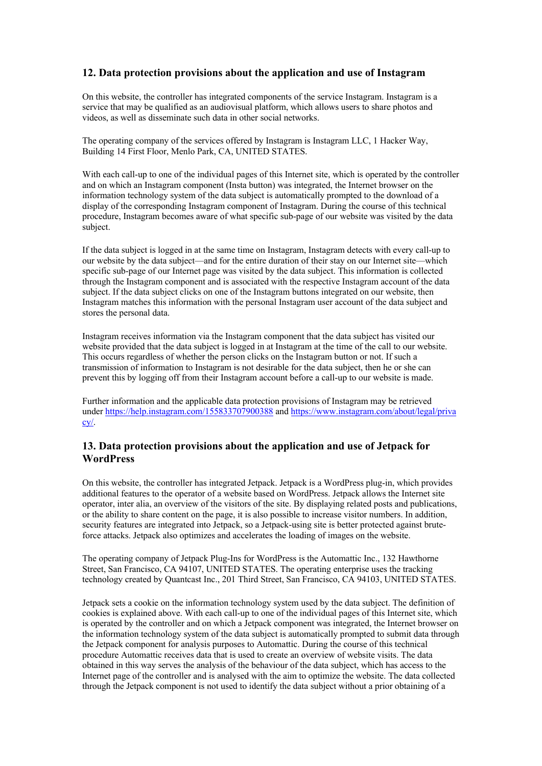# **12. Data protection provisions about the application and use of Instagram**

On this website, the controller has integrated components of the service Instagram. Instagram is a service that may be qualified as an audiovisual platform, which allows users to share photos and videos, as well as disseminate such data in other social networks.

The operating company of the services offered by Instagram is Instagram LLC, 1 Hacker Way, Building 14 First Floor, Menlo Park, CA, UNITED STATES.

With each call-up to one of the individual pages of this Internet site, which is operated by the controller and on which an Instagram component (Insta button) was integrated, the Internet browser on the information technology system of the data subject is automatically prompted to the download of a display of the corresponding Instagram component of Instagram. During the course of this technical procedure, Instagram becomes aware of what specific sub-page of our website was visited by the data subject.

If the data subject is logged in at the same time on Instagram, Instagram detects with every call-up to our website by the data subject—and for the entire duration of their stay on our Internet site—which specific sub-page of our Internet page was visited by the data subject. This information is collected through the Instagram component and is associated with the respective Instagram account of the data subject. If the data subject clicks on one of the Instagram buttons integrated on our website, then Instagram matches this information with the personal Instagram user account of the data subject and stores the personal data.

Instagram receives information via the Instagram component that the data subject has visited our website provided that the data subject is logged in at Instagram at the time of the call to our website. This occurs regardless of whether the person clicks on the Instagram button or not. If such a transmission of information to Instagram is not desirable for the data subject, then he or she can prevent this by logging off from their Instagram account before a call-up to our website is made.

Further information and the applicable data protection provisions of Instagram may be retrieved under https://help.instagram.com/155833707900388 and https://www.instagram.com/about/legal/priva cy/.

# **13. Data protection provisions about the application and use of Jetpack for WordPress**

On this website, the controller has integrated Jetpack. Jetpack is a WordPress plug-in, which provides additional features to the operator of a website based on WordPress. Jetpack allows the Internet site operator, inter alia, an overview of the visitors of the site. By displaying related posts and publications, or the ability to share content on the page, it is also possible to increase visitor numbers. In addition, security features are integrated into Jetpack, so a Jetpack-using site is better protected against bruteforce attacks. Jetpack also optimizes and accelerates the loading of images on the website.

The operating company of Jetpack Plug-Ins for WordPress is the Automattic Inc., 132 Hawthorne Street, San Francisco, CA 94107, UNITED STATES. The operating enterprise uses the tracking technology created by Quantcast Inc., 201 Third Street, San Francisco, CA 94103, UNITED STATES.

Jetpack sets a cookie on the information technology system used by the data subject. The definition of cookies is explained above. With each call-up to one of the individual pages of this Internet site, which is operated by the controller and on which a Jetpack component was integrated, the Internet browser on the information technology system of the data subject is automatically prompted to submit data through the Jetpack component for analysis purposes to Automattic. During the course of this technical procedure Automattic receives data that is used to create an overview of website visits. The data obtained in this way serves the analysis of the behaviour of the data subject, which has access to the Internet page of the controller and is analysed with the aim to optimize the website. The data collected through the Jetpack component is not used to identify the data subject without a prior obtaining of a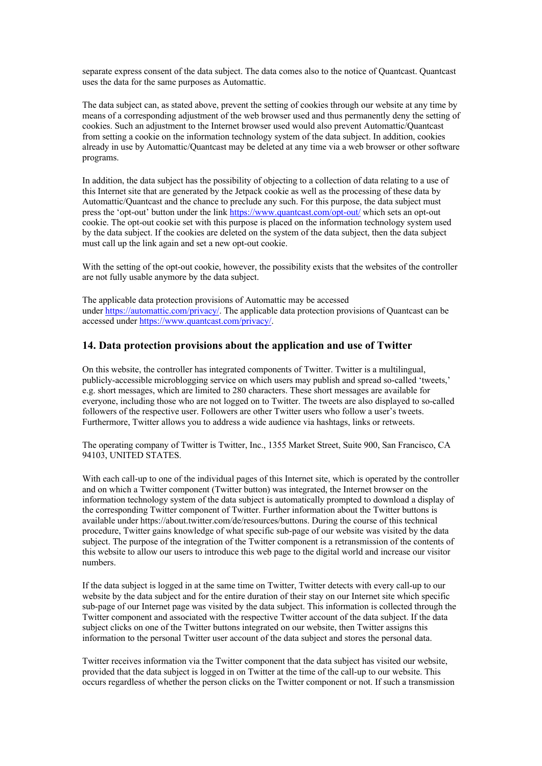separate express consent of the data subject. The data comes also to the notice of Quantcast. Quantcast uses the data for the same purposes as Automattic.

The data subject can, as stated above, prevent the setting of cookies through our website at any time by means of a corresponding adjustment of the web browser used and thus permanently deny the setting of cookies. Such an adjustment to the Internet browser used would also prevent Automattic/Quantcast from setting a cookie on the information technology system of the data subject. In addition, cookies already in use by Automattic/Quantcast may be deleted at any time via a web browser or other software programs.

In addition, the data subject has the possibility of objecting to a collection of data relating to a use of this Internet site that are generated by the Jetpack cookie as well as the processing of these data by Automattic/Quantcast and the chance to preclude any such. For this purpose, the data subject must press the 'opt-out' button under the link https://www.quantcast.com/opt-out/ which sets an opt-out cookie. The opt-out cookie set with this purpose is placed on the information technology system used by the data subject. If the cookies are deleted on the system of the data subject, then the data subject must call up the link again and set a new opt-out cookie.

With the setting of the opt-out cookie, however, the possibility exists that the websites of the controller are not fully usable anymore by the data subject.

The applicable data protection provisions of Automattic may be accessed under https://automattic.com/privacy/. The applicable data protection provisions of Quantcast can be accessed under https://www.quantcast.com/privacy/.

## **14. Data protection provisions about the application and use of Twitter**

On this website, the controller has integrated components of Twitter. Twitter is a multilingual, publicly-accessible microblogging service on which users may publish and spread so-called 'tweets,' e.g. short messages, which are limited to 280 characters. These short messages are available for everyone, including those who are not logged on to Twitter. The tweets are also displayed to so-called followers of the respective user. Followers are other Twitter users who follow a user's tweets. Furthermore, Twitter allows you to address a wide audience via hashtags, links or retweets.

The operating company of Twitter is Twitter, Inc., 1355 Market Street, Suite 900, San Francisco, CA 94103, UNITED STATES.

With each call-up to one of the individual pages of this Internet site, which is operated by the controller and on which a Twitter component (Twitter button) was integrated, the Internet browser on the information technology system of the data subject is automatically prompted to download a display of the corresponding Twitter component of Twitter. Further information about the Twitter buttons is available under https://about.twitter.com/de/resources/buttons. During the course of this technical procedure, Twitter gains knowledge of what specific sub-page of our website was visited by the data subject. The purpose of the integration of the Twitter component is a retransmission of the contents of this website to allow our users to introduce this web page to the digital world and increase our visitor numbers.

If the data subject is logged in at the same time on Twitter, Twitter detects with every call-up to our website by the data subject and for the entire duration of their stay on our Internet site which specific sub-page of our Internet page was visited by the data subject. This information is collected through the Twitter component and associated with the respective Twitter account of the data subject. If the data subject clicks on one of the Twitter buttons integrated on our website, then Twitter assigns this information to the personal Twitter user account of the data subject and stores the personal data.

Twitter receives information via the Twitter component that the data subject has visited our website, provided that the data subject is logged in on Twitter at the time of the call-up to our website. This occurs regardless of whether the person clicks on the Twitter component or not. If such a transmission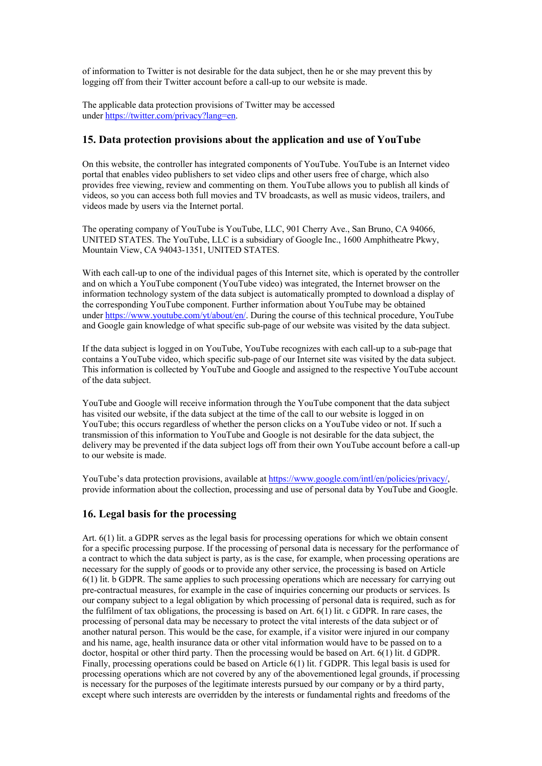of information to Twitter is not desirable for the data subject, then he or she may prevent this by logging off from their Twitter account before a call-up to our website is made.

The applicable data protection provisions of Twitter may be accessed under https://twitter.com/privacy?lang=en.

# **15. Data protection provisions about the application and use of YouTube**

On this website, the controller has integrated components of YouTube. YouTube is an Internet video portal that enables video publishers to set video clips and other users free of charge, which also provides free viewing, review and commenting on them. YouTube allows you to publish all kinds of videos, so you can access both full movies and TV broadcasts, as well as music videos, trailers, and videos made by users via the Internet portal.

The operating company of YouTube is YouTube, LLC, 901 Cherry Ave., San Bruno, CA 94066, UNITED STATES. The YouTube, LLC is a subsidiary of Google Inc., 1600 Amphitheatre Pkwy, Mountain View, CA 94043-1351, UNITED STATES.

With each call-up to one of the individual pages of this Internet site, which is operated by the controller and on which a YouTube component (YouTube video) was integrated, the Internet browser on the information technology system of the data subject is automatically prompted to download a display of the corresponding YouTube component. Further information about YouTube may be obtained under https://www.youtube.com/yt/about/en/. During the course of this technical procedure, YouTube and Google gain knowledge of what specific sub-page of our website was visited by the data subject.

If the data subject is logged in on YouTube, YouTube recognizes with each call-up to a sub-page that contains a YouTube video, which specific sub-page of our Internet site was visited by the data subject. This information is collected by YouTube and Google and assigned to the respective YouTube account of the data subject.

YouTube and Google will receive information through the YouTube component that the data subject has visited our website, if the data subject at the time of the call to our website is logged in on YouTube; this occurs regardless of whether the person clicks on a YouTube video or not. If such a transmission of this information to YouTube and Google is not desirable for the data subject, the delivery may be prevented if the data subject logs off from their own YouTube account before a call-up to our website is made.

YouTube's data protection provisions, available at https://www.google.com/intl/en/policies/privacy/, provide information about the collection, processing and use of personal data by YouTube and Google.

## **16. Legal basis for the processing**

Art. 6(1) lit. a GDPR serves as the legal basis for processing operations for which we obtain consent for a specific processing purpose. If the processing of personal data is necessary for the performance of a contract to which the data subject is party, as is the case, for example, when processing operations are necessary for the supply of goods or to provide any other service, the processing is based on Article 6(1) lit. b GDPR. The same applies to such processing operations which are necessary for carrying out pre-contractual measures, for example in the case of inquiries concerning our products or services. Is our company subject to a legal obligation by which processing of personal data is required, such as for the fulfilment of tax obligations, the processing is based on Art.  $6(1)$  lit. c GDPR. In rare cases, the processing of personal data may be necessary to protect the vital interests of the data subject or of another natural person. This would be the case, for example, if a visitor were injured in our company and his name, age, health insurance data or other vital information would have to be passed on to a doctor, hospital or other third party. Then the processing would be based on Art. 6(1) lit. d GDPR. Finally, processing operations could be based on Article 6(1) lit. f GDPR. This legal basis is used for processing operations which are not covered by any of the abovementioned legal grounds, if processing is necessary for the purposes of the legitimate interests pursued by our company or by a third party, except where such interests are overridden by the interests or fundamental rights and freedoms of the